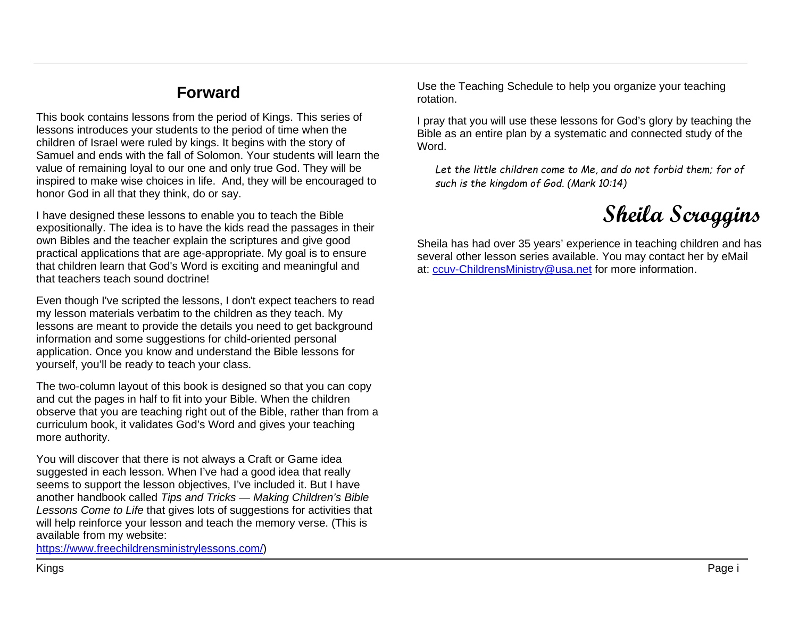## **Forward**

This book contains lessons from the period of Kings. This series of lessons introduces your students to the period of time when the children of Israel were ruled by kings. It begins with the story of Samuel and ends with the fall of Solomon. Your students will learn the value of remaining loyal to our one and only true God. They will be inspired to make wise choices in life. And, they will be encouraged to honor God in all that they think, do or say.

I have designed these lessons to enable you to teach the Bible expositionally. The idea is to have the kids read the passages in their own Bibles and the teacher explain the scriptures and give good practical applications that are age-appropriate. My goal is to ensure that children learn that God's Word is exciting and meaningful and that teachers teach sound doctrine!

Even though I've scripted the lessons, I don't expect teachers to read my lesson materials verbatim to the children as they teach. My lessons are meant to provide the details you need to get background information and some suggestions for child-oriented personal application. Once you know and understand the Bible lessons for yourself, you'll be ready to teach your class.

The two-column layout of this book is designed so that you can copy and cut the pages in half to fit into your Bible. When the children observe that you are teaching right out of the Bible, rather than from a curriculum book, it validates God's Word and gives your teaching more authority.

You will discover that there is not always a Craft or Game idea suggested in each lesson. When I've had a good idea that really seems to support the lesson objectives, I've included it. But I have another handbook called *Tips and Tricks — Making Children's Bible Lessons Come to Life* that gives lots of suggestions for activities that will help reinforce your lesson and teach the memory verse. (This is available from my website:

[https://www.freechildrensministrylessons.com/\)](https://www.freechildrensministrylessons.com/)

Use the Teaching Schedule to help you organize your teaching rotation.

I pray that you will use these lessons for God's glory by teaching the Bible as an entire plan by a systematic and connected study of the Word.

*Let the little children come to Me, and do not forbid them; for of such is the kingdom of God. (Mark 10:14)*



Sheila has had over 35 years' experience in teaching children and has several other lesson series available. You may contact her by eMail at: [ccuv-ChildrensMinistry@usa.net](mailto:ccuv-ChildrensMinistry@usa.net) for more information.